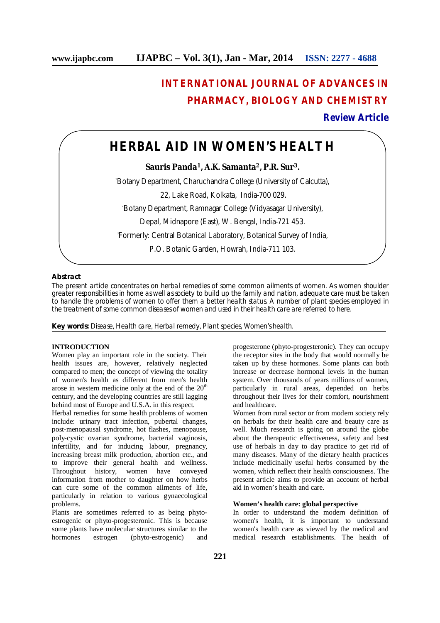# **INTERNATIONAL JOURNAL OF ADVANCES IN PHARMACY, BIOLOGY AND CHEMISTRY**

### **Review Article**

## **HERBAL AID IN WOMEN'S HEALTH**

**Sauris Panda<sup>1</sup>, A.K. Samanta<sup>2</sup>, P.R. Sur<sup>3</sup>.**

<sup>1</sup>Botany Department, Charuchandra College (University of Calcutta),

22, Lake Road, Kolkata, India-700 029.

<sup>2</sup>Botany Department, Ramnagar College (Vidyasagar University),

Depal, Midnapore (East), W. Bengal, India-721 453.

3 Formerly: Central Botanical Laboratory, Botanical Survey of India,

P.O. Botanic Garden, Howrah, India-711 103.

#### **Abstract**

The present article concentrates on herbal remedies of some common ailments of women. As women shoulder greater responsibilities in home as well as society to build up the family and nation, adequate care must be taken to handle the problems of women to offer them a better health status. A number of plant species employed in the treatment of some common diseases of women and used in their health care are referred to here.

**Key words:** Disease, Health care, Herbal remedy, Plant species, Women's health.

#### **INTRODUCTION**

Women play an important role in the society. Their health issues are, however, relatively neglected compared to men; the concept of viewing the totality of women's health as different from men's health arose in western medicine only at the end of the  $20<sup>th</sup>$ century, and the developing countries are still lagging behind most of Europe and U.S.A. in this respect.

Herbal remedies for some health problems of women include: urinary tract infection, pubertal changes, post-menopausal syndrome, hot flashes, menopause, poly-cystic ovarian syndrome, bacterial vaginosis, infertility, and for inducing labour, pregnancy, increasing breast milk production, abortion etc., and to improve their general health and wellness. Throughout history, women have conveyed information from mother to daughter on how herbs can cure some of the common ailments of life, particularly in relation to various gynaecological problems.

Plants are sometimes referred to as being phytoestrogenic or phyto-progesteronic. This is because some plants have molecular structures similar to the hormones estrogen (phyto-estrogenic) and

progesterone (phyto-progesteronic). They can occupy the receptor sites in the body that would normally be taken up by these hormones. Some plants can both increase or decrease hormonal levels in the human system. Over thousands of years millions of women, particularly in rural areas, depended on herbs throughout their lives for their comfort, nourishment and healthcare.

Women from rural sector or from modern society rely on herbals for their health care and beauty care as well. Much research is going on around the globe about the therapeutic effectiveness, safety and best use of herbals in day to day practice to get rid of many diseases. Many of the dietary health practices include medicinally useful herbs consumed by the women, which reflect their health consciousness. The present article aims to provide an account of herbal aid in women's health and care.

#### **Women's health care: global perspective**

In order to understand the modern definition of women's health, it is important to understand women's health care as viewed by the medical and medical research establishments. The health of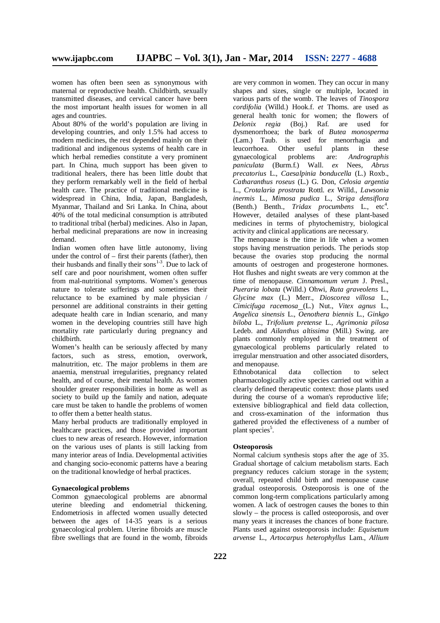women has often been seen as synonymous with maternal or reproductive health. Childbirth, sexually transmitted diseases, and cervical cancer have been the most important health issues for women in all ages and countries.

About 80% of the world's population are living in developing countries, and only 1.5% had access to modern medicines, the rest depended mainly on their traditional and indigenous systems of health care in which herbal remedies constitute a very prominent part. In China, much support has been given to traditional healers, there has been little doubt that they perform remarkably well in the field of herbal health care. The practice of traditional medicine is widespread in China, India, Japan, Bangladesh, Myanmar, Thailand and Sri Lanka. In China, about 40% of the total medicinal consumption is attributed to traditional tribal (herbal) medicines. Also in Japan, herbal medicinal preparations are now in increasing demand.

Indian women often have little autonomy, living under the control of  $-$  first their parents (father), then their husbands and finally their sons $1-3$ . Due to lack of self care and poor nourishment, women often suffer from mal-nutritional symptoms. Women's generous nature to tolerate sufferings and sometimes their reluctance to be examined by male physician / personnel are additional constraints in their getting adequate health care in Indian scenario, and many women in the developing countries still have high mortality rate particularly during pregnancy and childbirth.

Women's health can be seriously affected by many factors, such as stress, emotion, overwork, malnutrition, etc. The major problems in them are anaemia, menstrual irregularities, pregnancy related health, and of course, their mental health. As women shoulder greater responsibilities in home as well as society to build up the family and nation, adequate care must be taken to handle the problems of women to offer them a better health status.

Many herbal products are traditionally employed in healthcare practices, and those provided important clues to new areas of research. However, information on the various uses of plants is still lacking from many interior areas of India. Developmental activities and changing socio-economic patterns have a bearing on the traditional knowledge of herbal practices.

#### **Gynaecological problems**

Common gynaecological problems are abnormal uterine bleeding and endometrial thickening. Endometriosis in affected women usually detected between the ages of 14-35 years is a serious gynaecological problem. Uterine fibroids are muscle fibre swellings that are found in the womb, fibroids

are very common in women. They can occur in many shapes and sizes, single or multiple, located in various parts of the womb. The leaves of *Tinospora cordifolia* (Willd.) Hook.f. *et* Thoms. are used as general health tonic for women; the flowers of *Delonix regia* (Boj.) Raf. are used for dysmenorrhoea; the bark of *Butea monosperma* (Lam.) Taub. is used for menorrhagia and leucorrhoea. Other useful plants in these gynaecological problems are: *Andrographis paniculata* (Burm.f.) Wall. *ex* Nees*, Abrus precatorius* L., *Caesalpinia bonducella* (L.) Roxb., *Catharanthus roseus* (L.) G. Don, *Celosia argentia*  L., *Crotalaria prostrata* Rottl. *ex* Willd., *Lawsonia inermis* L., *Mimosa pudica* L., *Striga densiflora* (Benth.) Benth., Tridax procumbens L., etc<sup>4</sup>. However, detailed analyses of these plant-based medicines in terms of phytochemistry, biological activity and clinical applications are necessary.

The menopause is the time in life when a women stops having menstruation periods. The periods stop because the ovaries stop producing the normal amounts of oestrogen and progesterone hormones. Hot flushes and night sweats are very common at the time of menopause. *Cinnamomum verum* J. Presl., *Pueraria lobata* (Willd.) Ohwi, *Ruta graveolens* L., *Glycine max* (L.) Merr., *Dioscorea villosa* L*.*, *Cimicifuga racemosa* (L.) Nut., *Vitex agnus* L., *Angelica sinensis* L., *Oenothera biennis* L*.*, *Ginkgo biloba* L., *Trifolium pretense* L., *Agrimonia pilosa* Ledeb. and *Ailanthus altissima* (Mill.) Swing. are plants commonly employed in the treatment of gynaecological problems particularly related to irregular menstruation and other associated disorders, and menopause.

Ethnobotanical data collection to select pharmacologically active species carried out within a clearly defined therapeutic context: those plants used during the course of a woman's reproductive life; extensive bibliographical and field data collection, and cross-examination of the information thus gathered provided the effectiveness of a number of plant species<sup>5</sup>.

#### **Osteoporosis**

Normal calcium synthesis stops after the age of 35. Gradual shortage of calcium metabolism starts. Each pregnancy reduces calcium storage in the system; overall, repeated child birth and menopause cause gradual osteoporosis. Osteoporosis is one of the common long-term complications particularly among women. A lack of oestrogen causes the bones to thin slowly – the process is called osteoporosis, and over many years it increases the chances of bone fracture. Plants used against osteoporosis include: *Equisetum arvense* L., *Artocarpus heterophyllus* Lam., *Allium*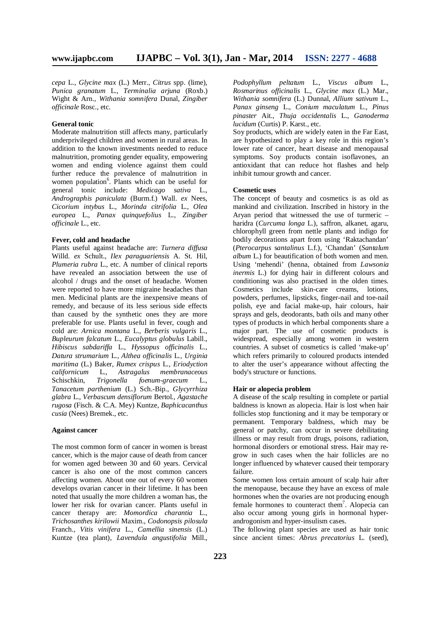*cepa* L., *Glycine max* (L.) Merr., *Citrus* spp. (lime), *Punica granatum* L., *Terminalia arjuna* (Roxb.) Wight & Arn., *Withania somnifera* Dunal, *Zingiber officinale* Rosc., etc.

#### **General tonic**

Moderate malnutrition still affects many, particularly underprivileged children and women in rural areas. In addition to the known investments needed to reduce malnutrition, promoting gender equality, empowering women and ending violence against them could further reduce the prevalence of malnutrition in women population<sup>6</sup>. Plants which can be useful for general tonic include: *Medicago sativa* L., *Andrographis paniculata* (Burm.f.) Wall. *ex* Nees, *Cicorium intybus* L., *Morinda citrifolia* L., *Olea europea* L., *Panax quinquefolius* L., *Zingiber officinale* L., etc.

#### **Fever, cold and headache**

Plants useful against headache are: *Turnera diffusa*  Willd. *ex* Schult., *Ilex paraguariensis* A. St. Hil, *Plumeria rubra* L., etc. A number of clinical reports have revealed an association between the use of alcohol / drugs and the onset of headache. Women were reported to have more migraine headaches than men. Medicinal plants are the inexpensive means of remedy, and because of its less serious side effects than caused by the synthetic ones they are more preferable for use. Plants useful in fever, cough and cold are: *Arnica montana* L., *Berberis vulgaris* L., *Bupleurum falcatum* L., *Eucalyptus globulus* Labill., *Hibiscus sabdariffa* L., *Hyssopus officinalis* L*.*, *Datura strumarium* L., *Althea officinalis* L*.*, *Urginia maritima* (L.) Baker, *Rumex crispus* L*.*, *Eriodyction californicum* L., *Astragalus membranaceous* Schischkin, Trigonella foenum-graecum *Tanacetum parthenium* (L.) Sch.-Bip., *Glycyrrhiza glabra* L., *Verbascum densiflorum* Bertol*.*, *Agastache rugosa* (Fisch. & C.A. Mey) Kuntze, *Baphicacanthus cusia* (Nees) Bremek., etc.

#### **Against cancer**

The most common form of cancer in women is breast cancer, which is the major cause of death from cancer for women aged between 30 and 60 years. Cervical cancer is also one of the most common cancers affecting women. About one out of every 60 women develops ovarian cancer in their lifetime. It has been noted that usually the more children a woman has, the lower her risk for ovarian cancer. Plants useful in cancer therapy are: *Momordica charantia* L., *Trichosanthes kirilowii* Maxim., *Codonopsis pilosula* Franch., *Vitis vinifera* L., *Camellia sinensis* (L.) Kuntze (tea plant), *Lavendula angustifolia* Mill.,

*Podophyllum peltatum* L*.*, *Viscus album* L., *Rosmarinus officinalis* L., *Glycine max* (L.) Mar., *Withania somnifera* (L.) Dunnal, *Allium sativum* L., *Panax ginseng* L., *Conium maculatum* L., *Pinus pinaster* Ait., *Thuja occidentalis* L., *Ganoderma lucidum* (Curtis) P. Karst., etc.

Soy products, which are widely eaten in the Far East, are hypothesized to play a key role in this region's lower rate of cancer, heart disease and menopausal symptoms. Soy products contain isoflavones, an antioxidant that can reduce hot flashes and help inhibit tumour growth and cancer.

#### **Cosmetic uses**

The concept of beauty and cosmetics is as old as mankind and civilization. Inscribed in history in the Aryan period that witnessed the use of turmeric – haridra (*Curcuma longa* L.), saffron, alkanet, agaru, chlorophyll green from nettle plants and indigo for bodily decorations apart from using 'Raktachandan' (*Pterocarpus* s*antalinus* L.f.), 'Chandan' (*Santalum album* L.) for beautification of both women and men. Using 'mehendi' (henna, obtained from *Lawsonia inermis* L.) for dying hair in different colours and conditioning was also practised in the olden times. Cosmetics include skin-care creams, lotions, powders, perfumes, lipsticks, finger-nail and toe-nail polish, eye and facial make-up, hair colours, hair sprays and gels, deodorants, bath oils and many other types of products in which herbal components share a major part. The use of cosmetic products is widespread, especially among women in western countries. A subset of cosmetics is called 'make-up' which refers primarily to coloured products intended to alter the user's appearance without affecting the body's structure or functions.

#### **Hair or alopecia problem**

A disease of the scalp resulting in complete or partial baldness is known as alopecia. Hair is lost when hair follicles stop functioning and it may be temporary or permanent. Temporary baldness, which may be general or patchy, can occur in severe debilitating illness or may result from drugs, poisons, radiation, hormonal disorders or emotional stress. Hair may regrow in such cases when the hair follicles are no longer influenced by whatever caused their temporary failure.

Some women loss certain amount of scalp hair after the menopause, because they have an excess of male hormones when the ovaries are not producing enough female hormones to counteract them<sup>7</sup>. Alopecia can also occur among young girls in hormonal hyperandrogonism and hyper-insulism cases.

The following plant species are used as hair tonic since ancient times: *Abrus precatorius* L. (seed),